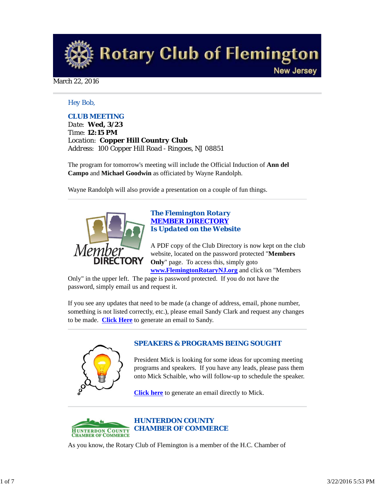

#### March 22, 2016

### *Hey Bob,*

### *CLUB MEETING*

*Date: Wed, 3/23 Time: 12:15 PM Location: Copper Hill Country Club Address: 100 Copper Hill Road - Ringoes, NJ 08851*

The program for tomorrow's meeting will include the Official Induction of **Ann del Campo** and **Michael Goodwin** as officiated by Wayne Randolph.

Wayne Randolph will also provide a presentation on a couple of fun things.



### *The Flemington Rotary MEMBER DIRECTORY Is Updated on the Website*

A PDF copy of the Club Directory is now kept on the club website, located on the password protected "**Members Only**" page. To access this, simply goto **www.FlemingtonRotaryNJ.org** and click on "Members

Only" in the upper left. The page is password protected. If you do not have the password, simply email us and request it.

If you see any updates that need to be made (a change of address, email, phone number, something is not listed correctly, etc.), please email Sandy Clark and request any changes to be made. **Click Here** to generate an email to Sandy.



# *SPEAKERS & PROGRAMS BEING SOUGHT*

President Mick is looking for some ideas for upcoming meeting programs and speakers. If you have any leads, please pass them onto Mick Schaible, who will follow-up to schedule the speaker.

**Click here** to generate an email directly to Mick.



As you know, the Rotary Club of Flemington is a member of the H.C. Chamber of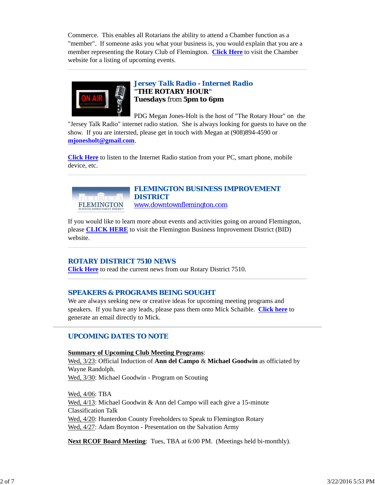Commerce. This enables all Rotarians the ability to attend a Chamber function as a "member". If someone asks you what your business is, you would explain that you are a member representing the Rotary Club of Flemington. **Click Here** to visit the Chamber website for a listing of upcoming events.



# *Jersey Talk Radio - Internet Radio "THE ROTARY HOUR"* **Tuesdays** from **5pm to 6pm**

PDG Megan Jones-Holt is the host of "The Rotary Hour" on the "Jersey Talk Radio" internet radio station. She is always looking for guests to have on the show. If you are intersted, please get in touch with Megan at (908)894-4590 or **mjonesholt@gmail.com**.

**Click Here** to listen to the Internet Radio station from your PC, smart phone, mobile device, etc.



### *FLEMINGTON BUSINESS IMPROVEMENT DISTRICT* www.downtownflemington.com

If you would like to learn more about events and activities going on around Flemington, please **CLICK HERE** to visit the Flemington Business Improvement District (BID) website.

# *ROTARY DISTRICT 7510 NEWS*

**Click Here** to read the current news from our Rotary District 7510.

# *SPEAKERS & PROGRAMS BEING SOUGHT*

We are always seeking new or creative ideas for upcoming meeting programs and speakers. If you have any leads, please pass them onto Mick Schaible. **Click here** to generate an email directly to Mick.

# *UPCOMING DATES TO NOTE*

**Summary of Upcoming Club Meeting Programs**: Wed, 3/23: Official Induction of **Ann del Campo** & **Michael Goodwin** as officiated by Wayne Randolph. Wed, 3/30: Michael Goodwin - Program on Scouting

Wed, 4/06: TBA Wed, 4/13: Michael Goodwin & Ann del Campo will each give a 15-minute Classification Talk Wed,  $4/20$ : Hunterdon County Freeholders to Speak to Flemington Rotary Wed, 4/27: Adam Boynton - Presentation on the Salvation Army

**Next RCOF Board Meeting**: Tues, TBA at 6:00 PM. (Meetings held bi-monthly).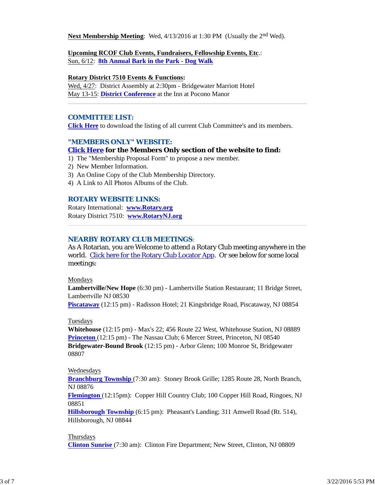**Next Membership Meeting**: Wed, 4/13/2016 at 1:30 PM (Usually the 2<sup>nd</sup> Wed).

#### **Upcoming RCOF Club Events, Fundraisers, Fellowship Events, Etc**.:

Sun, 6/12: **8th Annual Bark in the Park - Dog Walk**

#### **Rotary District 7510 Events & Functions:**

Wed, 4/27: District Assembly at 2:30pm - Bridgewater Marriott Hotel May 13-15: **District Conference** at the Inn at Pocono Manor

### *COMMITTEE LIST:*

**Click Here** to download the listing of all current Club Committee's and its members.

#### *"MEMBERS ONLY" WEBSITE:*

#### **Click Here for the Members Only section of the website to find:**

- 1) The "Membership Proposal Form" to propose a new member.
- 2) New Member Information.
- 3) An Online Copy of the Club Membership Directory.
- 4) A Link to All Photos Albums of the Club.

#### *ROTARY WEBSITE LINKS:*

Rotary International: **www.Rotary.org** Rotary District 7510: **www.RotaryNJ.org**

#### *NEARBY ROTARY CLUB MEETINGS:*

As A Rotarian, you are Welcome to attend a Rotary Club meeting anywhere in the world. Click here for the Rotary Club Locator App. Or see below for some local meetings:

#### Mondays

**Lambertville/New Hope** (6:30 pm) - Lambertville Station Restaurant; 11 Bridge Street, Lambertville NJ 08530 **Piscataway** (12:15 pm) - Radisson Hotel; 21 Kingsbridge Road, Piscataway, NJ 08854

#### Tuesdays

**Whitehouse** (12:15 pm) - Max's 22; 456 Route 22 West, Whitehouse Station, NJ 08889 **Princeton** (12:15 pm) - The Nassau Club; 6 Mercer Street, Princeton, NJ 08540 **Bridgewater-Bound Brook** (12:15 pm) - Arbor Glenn; 100 Monroe St, Bridgewater 08807

#### Wednesdays

**Branchburg Township** (7:30 am): Stoney Brook Grille; 1285 Route 28, North Branch, NJ 08876

**Flemington** (12:15pm): Copper Hill Country Club; 100 Copper Hill Road, Ringoes, NJ 08851

**Hillsborough Township** (6:15 pm): Pheasant's Landing; 311 Amwell Road (Rt. 514), Hillsborough, NJ 08844

### **Thursdays Clinton Sunrise** (7:30 am): Clinton Fire Department; New Street, Clinton, NJ 08809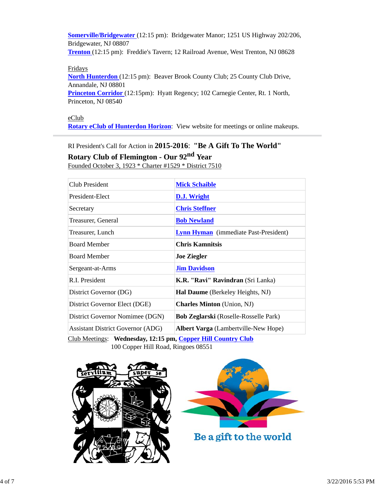**Somerville/Bridgewater** (12:15 pm): Bridgewater Manor; 1251 US Highway 202/206, Bridgewater, NJ 08807 **Trenton** (12:15 pm): Freddie's Tavern; 12 Railroad Avenue, West Trenton, NJ 08628

### Fridays

**North Hunterdon** (12:15 pm): Beaver Brook County Club; 25 County Club Drive, Annandale, NJ 08801

**Princeton Corridor** (12:15pm): Hyatt Regency; 102 Carnegie Center, Rt. 1 North, Princeton, NJ 08540

eClub **Rotary eClub of Hunterdon Horizon**: View website for meetings or online makeups.

RI President's Call for Action in **2015-2016**: **"Be A Gift To The World" Rotary Club of Flemington - Our 92nd Year** Founded October 3, 1923 \* Charter #1529 \* District 7510

| Club President                           | <b>Mick Schaible</b>                         |
|------------------------------------------|----------------------------------------------|
| President-Elect                          | <b>D.J.</b> Wright                           |
| Secretary                                | <b>Chris Steffner</b>                        |
| Treasurer, General                       | <b>Bob Newland</b>                           |
| Treasurer, Lunch                         | <b>Lynn Hyman</b> (immediate Past-President) |
| <b>Board Member</b>                      | <b>Chris Kamnitsis</b>                       |
| <b>Board Member</b>                      | <b>Joe Ziegler</b>                           |
| Sergeant-at-Arms                         | <b>Jim Davidson</b>                          |
| R.I. President                           | K.R. "Ravi" Ravindran (Sri Lanka)            |
| District Governor (DG)                   | <b>Hal Daume</b> (Berkeley Heights, NJ)      |
| District Governor Elect (DGE)            | <b>Charles Minton</b> (Union, NJ)            |
| District Governor Nomimee (DGN)          | <b>Bob Zeglarski</b> (Roselle-Rosselle Park) |
| <b>Assistant District Governor (ADG)</b> | <b>Albert Varga</b> (Lambertville-New Hope)  |
|                                          |                                              |

Club Meetings: **Wednesday, 12:15 pm, Copper Hill Country Club** 100 Copper Hill Road, Ringoes 08551





Be a gift to the world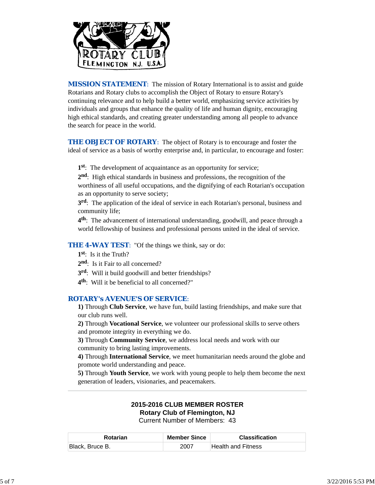

**MISSION STATEMENT:** The mission of Rotary International is to assist and guide Rotarians and Rotary clubs to accomplish the Object of Rotary to ensure Rotary's continuing relevance and to help build a better world, emphasizing service activities by individuals and groups that enhance the quality of life and human dignity, encouraging high ethical standards, and creating greater understanding among all people to advance the search for peace in the world.

**THE OBJECT OF ROTARY:** The object of Rotary is to encourage and foster the ideal of service as a basis of worthy enterprise and, in particular, to encourage and foster:

**1st**: The development of acquaintance as an opportunity for service;

**2nd**: High ethical standards in business and professions, the recognition of the worthiness of all useful occupations, and the dignifying of each Rotarian's occupation as an opportunity to serve society;

**3rd**: The application of the ideal of service in each Rotarian's personal, business and community life;

**4th**: The advancement of international understanding, goodwill, and peace through a world fellowship of business and professional persons united in the ideal of service.

#### **THE 4-WAY TEST:** "Of the things we think, say or do:

- **1st**: Is it the Truth?
- 2<sup>nd</sup>: Is it Fair to all concerned?
- **3rd**: Will it build goodwill and better friendships?
- **4th**: Will it be beneficial to all concerned?"

#### *ROTARY's AVENUE'S OF SERVICE*:

**1)** Through **Club Service**, we have fun, build lasting friendships, and make sure that our club runs well.

**2)** Through **Vocational Service**, we volunteer our professional skills to serve others and promote integrity in everything we do.

**3)** Through **Community Service**, we address local needs and work with our community to bring lasting improvements.

**4)** Through **International Service**, we meet humanitarian needs around the globe and promote world understanding and peace.

**5)** Through **Youth Service**, we work with young people to help them become the next generation of leaders, visionaries, and peacemakers.

# **2015-2016 CLUB MEMBER ROSTER**

**Rotary Club of Flemington, NJ**

Current Number of Members: 43

| <b>Rotarian</b> | <b>Member Since</b> | <b>Classification</b> |
|-----------------|---------------------|-----------------------|
| Black, Bruce B. | 2007                | Health and Fitness    |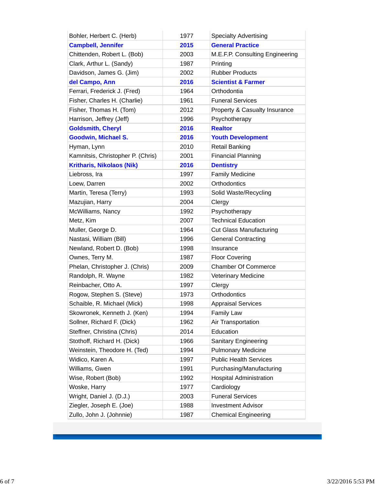| Bohler, Herbert C. (Herb)         | 1977 | <b>Specialty Advertising</b>             |
|-----------------------------------|------|------------------------------------------|
| <b>Campbell, Jennifer</b>         | 2015 | <b>General Practice</b>                  |
| Chittenden, Robert L. (Bob)       | 2003 | M.E.F.P. Consulting Engineering          |
| Clark, Arthur L. (Sandy)          | 1987 | Printing                                 |
| Davidson, James G. (Jim)          | 2002 | <b>Rubber Products</b>                   |
| del Campo, Ann                    | 2016 | <b>Scientist &amp; Farmer</b>            |
| Ferrari, Frederick J. (Fred)      | 1964 | Orthodontia                              |
| Fisher, Charles H. (Charlie)      | 1961 | <b>Funeral Services</b>                  |
| Fisher, Thomas H. (Tom)           | 2012 | <b>Property &amp; Casualty Insurance</b> |
| Harrison, Jeffrey (Jeff)          | 1996 | Psychotherapy                            |
| <b>Goldsmith, Cheryl</b>          | 2016 | <b>Realtor</b>                           |
| <b>Goodwin, Michael S.</b>        | 2016 | <b>Youth Development</b>                 |
| Hyman, Lynn                       | 2010 | <b>Retail Banking</b>                    |
| Kamnitsis, Christopher P. (Chris) | 2001 | <b>Financial Planning</b>                |
| <b>Kritharis, Nikolaos (Nik)</b>  | 2016 | <b>Dentistry</b>                         |
| Liebross, Ira                     | 1997 | <b>Family Medicine</b>                   |
| Loew, Darren                      | 2002 | Orthodontics                             |
| Martin, Teresa (Terry)            | 1993 | Solid Waste/Recycling                    |
| Mazujian, Harry                   | 2004 | Clergy                                   |
| McWilliams, Nancy                 | 1992 | Psychotherapy                            |
| Metz, Kim                         | 2007 | <b>Technical Education</b>               |
| Muller, George D.                 | 1964 | <b>Cut Glass Manufacturing</b>           |
| Nastasi, William (Bill)           | 1996 | <b>General Contracting</b>               |
| Newland, Robert D. (Bob)          | 1998 | Insurance                                |
| Ownes, Terry M.                   | 1987 | <b>Floor Covering</b>                    |
| Phelan, Christopher J. (Chris)    | 2009 | <b>Chamber Of Commerce</b>               |
| Randolph, R. Wayne                | 1982 | <b>Veterinary Medicine</b>               |
| Reinbacher, Otto A.               | 1997 | Clergy                                   |
| Rogow, Stephen S. (Steve)         | 1973 | Orthodontics                             |
| Schaible, R. Michael (Mick)       | 1998 | <b>Appraisal Services</b>                |
| Skowronek, Kenneth J. (Ken)       | 1994 | <b>Family Law</b>                        |
| Sollner, Richard F. (Dick)        | 1962 | Air Transportation                       |
| Steffner, Christina (Chris)       | 2014 | Education                                |
| Stothoff, Richard H. (Dick)       | 1966 | <b>Sanitary Engineering</b>              |
| Weinstein, Theodore H. (Ted)      | 1994 | <b>Pulmonary Medicine</b>                |
| Widico, Karen A.                  | 1997 | <b>Public Health Services</b>            |
| Williams, Gwen                    | 1991 | Purchasing/Manufacturing                 |
| Wise, Robert (Bob)                | 1992 | <b>Hospital Administration</b>           |
| Woske, Harry                      | 1977 | Cardiology                               |
| Wright, Daniel J. (D.J.)          | 2003 | <b>Funeral Services</b>                  |
| Ziegler, Joseph E. (Joe)          | 1988 | <b>Investment Advisor</b>                |
| Zullo, John J. (Johnnie)          | 1987 | <b>Chemical Engineering</b>              |